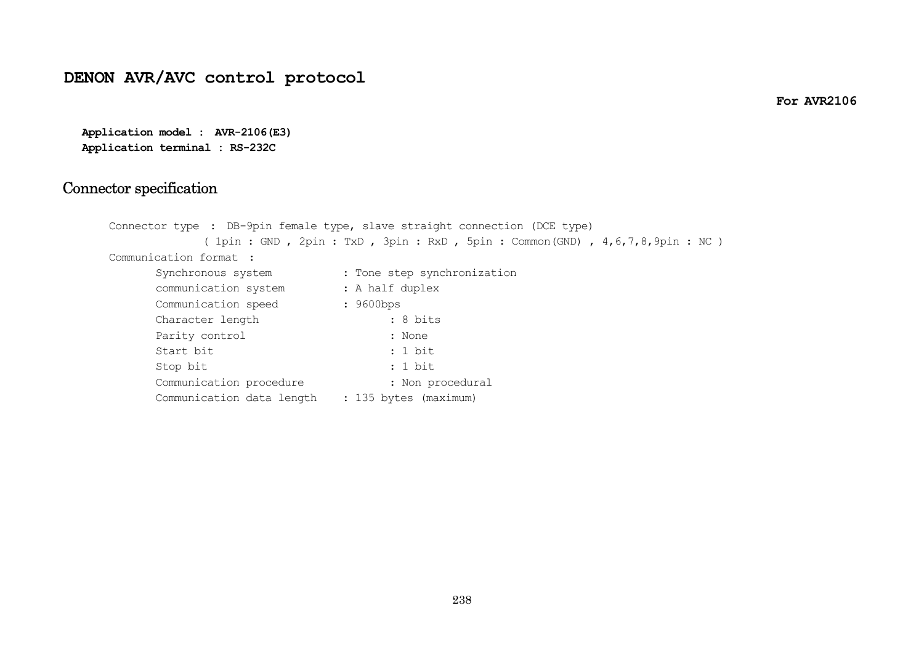# **DENON AVR/AVC control protocol**

**For AVR2106** 

**Application model : AVR-2106(E3) Application terminal : RS-232C**

### Connector spe cification

|                                                 | Connector type : DB-9pin female type, slave straight connection (DCE type)        |
|-------------------------------------------------|-----------------------------------------------------------------------------------|
|                                                 | ( 1pin : GND , 2pin : TxD , 3pin : RxD , 5pin : Common(GND) , 4,6,7,8,9pin : NC ) |
| Communication format :                          |                                                                                   |
| Synchronous system                              | : Tone step synchronization                                                       |
| communication system                            | : A half duplex                                                                   |
| Communication speed                             | $: 9600$ bps                                                                      |
| Character length                                | $: 8 \text{ bits}$                                                                |
| Parity control                                  | : None                                                                            |
| Start bit                                       | : 1 bit                                                                           |
| Stop bit                                        | : 1 bit                                                                           |
| Communication procedure                         | : Non procedural                                                                  |
| Communication data length : 135 bytes (maximum) |                                                                                   |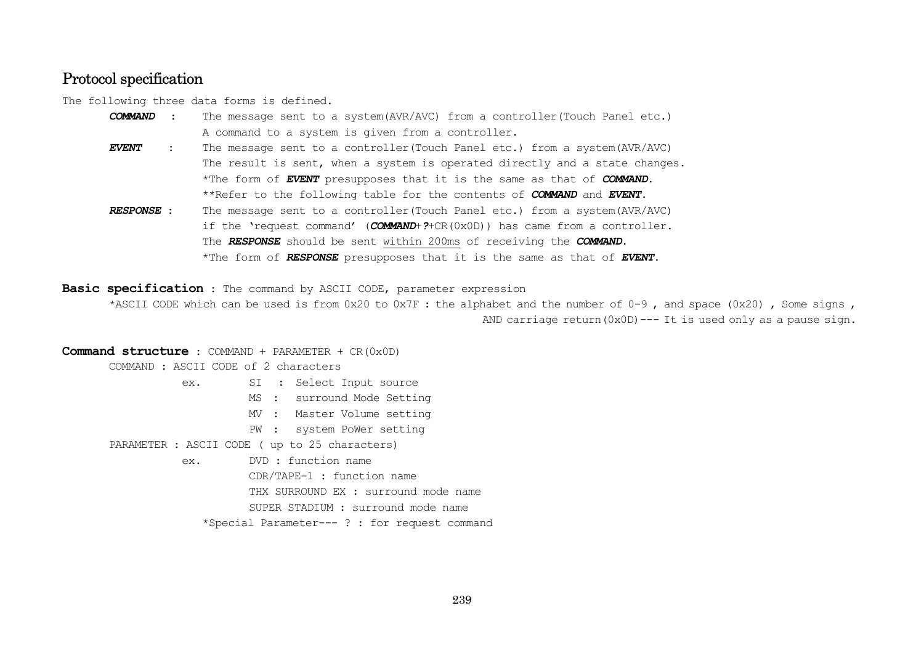### Protocol specification

The following three data forms is defined.

- *COMMAND*The message sent to a system(AVR/AVC) from a controller(Touch Panel etc.) A command to a system is given from a controller.
- *EVENT*The message sent to a controller(Touch Panel etc.) from a system(AVR/AVC) The result is sent, when a system is operated directly and a state changes. \*The form of *EVENT* presupposes that it is the same as that of *COMMAND*. \*\*Refer to the following table for the contents of *COMMAND* and *EVENT*.
- *RESPONSE* : The message sent to a controller(Touch Panel etc.) from a system(AVR/AVC) if the 'request command' (*COMMAND*+*?*+CR(0x0D)) has came from a controller. The *RESPONSE* should be sent within 200ms of receiving the *COMMAND*. \*The form of *RESPONSE* presupposes that it is the same as that of *EVENT*.

**Basic specification** : The command by ASCII CODE, parameter expression

\*ASCII CODE which can be used is from  $0x20$  to  $0x7F$ : the alphabet and the number of  $0-9$ , and space  $(0x20)$ , Some signs, AND carriage return(0x0D)--- It is used only as a pause sign.

**Command structure** : COMMAND + PARAMETER + CR(0x0D) COMMAND : ASCII CODE of 2 characters ex. SI : Select Input source MS : surround Mode Setting MV : Master Volume setting PW : system PoWer setting PARAMETER : ASCII CODE ( up to 25 characters) ex. DVD : function name CDR/TAPE-1 : function name THX SURROUND EX : surround mode name SUPER STADIUM : surround mode name \*Special Parameter--- ? : for request command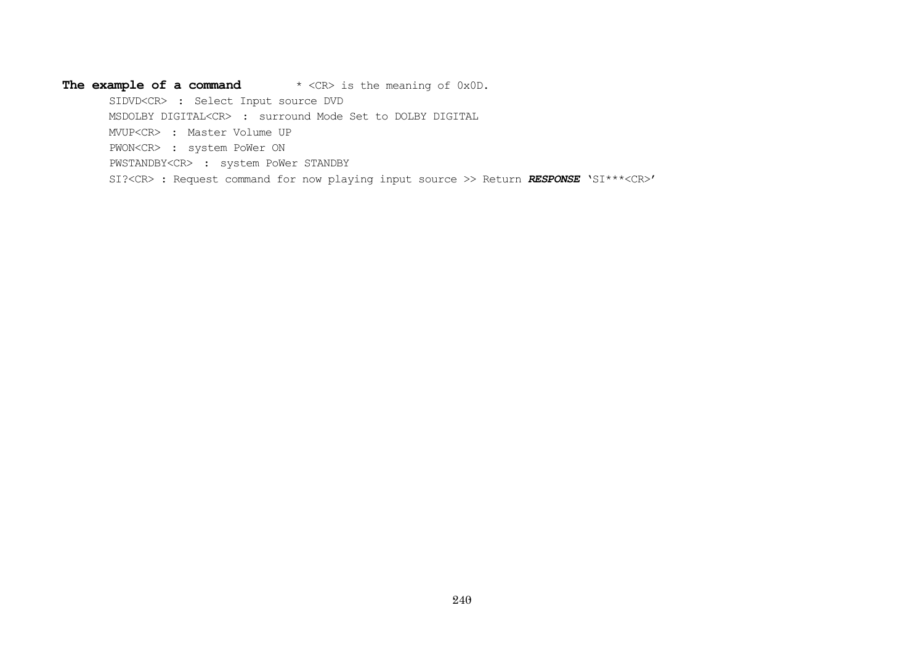#### The example of a command \* <CR> is the meaning of 0x0D.

SIDVD<CR> : Select Input source DVD

MSDOLBY DIGITAL<CR> : surround Mode Set to DOLBY DIGITAL

MVUP<CR> : Master Volume UP

PWON<CR> : system PoWer ON

PWSTANDBY<CR> : system PoWer STANDBY

SI?<CR> : Request command for now playing input source >> Return *RESPONSE* 'SI\*\*\*<CR>'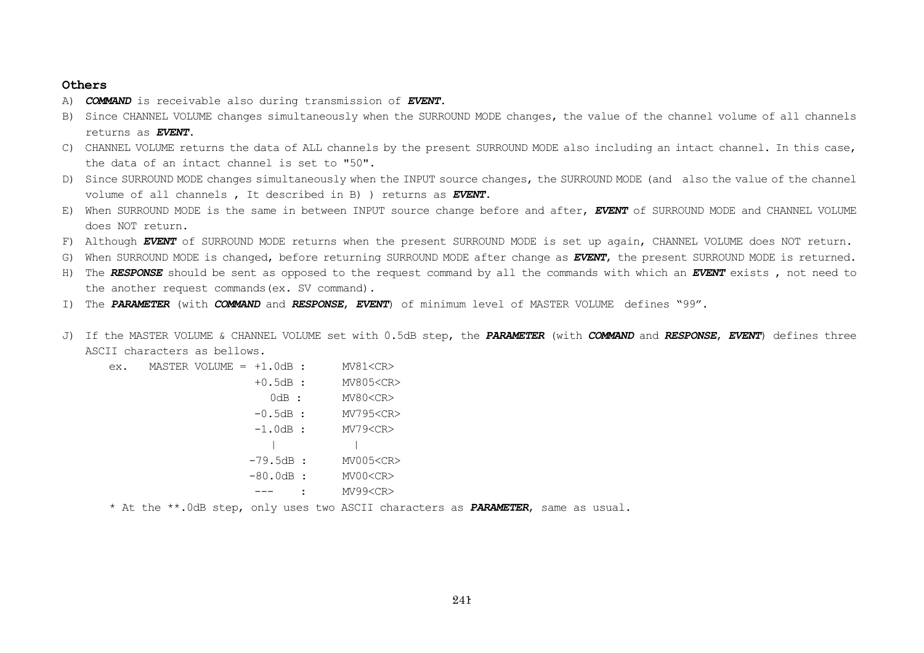#### **Others**

- A) *COMMAND* is receivable also during transmission of *EVENT*.
- B) Since CHANNEL VOLUME changes simultaneously when the SURROUND MODE changes, the value of the channel volume of all channels returns as *EVENT*.
- C) CHANNEL VOLUME returns the data of ALL channels by the present SURROUND MODE also including an intact channel. In this case, the data of an intact channel is set to "50".
- D) Since SURROUND MODE changes simultaneously when the INPUT source changes, the SURROUND MODE (and also the value of the channel volume of all channels , It described in B) ) returns as *EVENT*.
- E) When SURROUND MODE is the same in between INPUT source change before and after, *EVENT* of SURROUND MODE and CHANNEL VOLUME does NOT return.
- F) Although *EVENT* of SURROUND MODE returns when the present SURROUND MODE is set up again, CHANNEL VOLUME does NOT return.
- G) When SURROUND MODE is changed, before returning SURROUND MODE after change as *EVENT*, the present SURROUND MODE is returned.
- H) The *RESPONSE* should be sent as opposed to the request command by all the commands with which an *EVENT* exists , not need to the another request commands(ex. SV command).
- I) The *PARAMETER* (with *COMMAND* and *RESPONSE*, *EVENT*) of minimum level of MASTER VOLUME defines "99".
- J) If the MASTER VOLUME & CHANNEL VOLUME set with 0.5dB step, the *PARAMETER* (with *COMMAND* and *RESPONSE*, *EVENT*) defines three ASCII characters as bellows.

| ex. | $MASTER VOLUME = +1.0dB :$ |            | MV81 < CR       |
|-----|----------------------------|------------|-----------------|
|     |                            | $+0.5dB:$  | MV805 <cr></cr> |
|     |                            | $0dB$ :    | MV80 <cr></cr>  |
|     |                            | $-0.5dB$ : | MV795 <cr></cr> |
|     |                            | $-1.0dB:$  | MV79 < CR       |
|     |                            |            |                 |
|     |                            | $-79.5dB:$ | MV005 <cr></cr> |
|     |                            | $-80.0dB:$ | MV00 <cr></cr>  |
|     |                            |            | MV99 <cr></cr>  |
|     |                            |            |                 |

\* At the \*\*.0dB step, only uses two ASCII characters as *PARAMETER*, same as usual.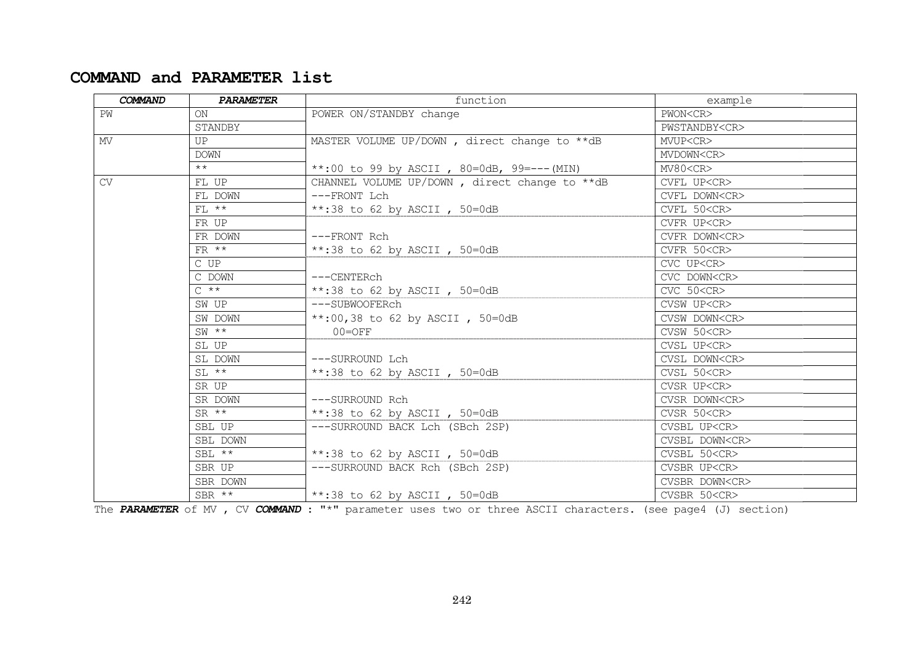# **COMMAND and PARAMETER list**

| COMMAND | <b>PARAMETER</b> | function                                      | example              |
|---------|------------------|-----------------------------------------------|----------------------|
| PW      | ON               | POWER ON/STANDBY change                       | PWON <cr></cr>       |
|         | STANDBY          |                                               | PWSTANDBY <cr></cr>  |
| MV      | UP               | MASTER VOLUME UP/DOWN, direct change to **dB  | MVUP <cr></cr>       |
|         | <b>DOWN</b>      |                                               | MVDOWN <cr></cr>     |
|         | $***$            | **:00 to 99 by ASCII, 80=0dB, 99=--- (MIN)    | MV80 <cr></cr>       |
| CV.     | FL UP            | CHANNEL VOLUME UP/DOWN, direct change to **dB | CVFL UP <cr></cr>    |
|         | FL DOWN          | ---FRONT Lch                                  | CVFL DOWN <cr></cr>  |
|         | $FL$ **          | **:38 to 62 by ASCII, $50=0dB$                | CVFL 50 <cr></cr>    |
|         | FR UP            |                                               | CVFR UP <cr></cr>    |
|         | FR DOWN          | ---FRONT Rch                                  | CVFR DOWN <cr></cr>  |
|         | $FR$ **          | **:38 to 62 by ASCII, $50=0dB$                | CVFR 50 <cr></cr>    |
|         | $C$ $UP$         |                                               | CVC UP <cr></cr>     |
|         | C DOWN           | ---CENTERch                                   | CVC DOWN <cr></cr>   |
|         | $C \star \star$  | **:38 to 62 by ASCII, $50=0dB$                | CVC 50 <cr></cr>     |
|         | SW UP            | ---SUBWOOFERch                                | CVSW UP <cr></cr>    |
|         | SW DOWN          | **:00,38 to 62 by ASCII, $50=0dB$             | CVSW DOWN <cr></cr>  |
|         | $SW$ **          | $00 = OFF$                                    | CVSW 50 <cr></cr>    |
|         | SL UP            |                                               | CVSL UP <cr></cr>    |
|         | SL DOWN          | ---SURROUND Lch                               | CVSL DOWN <cr></cr>  |
|         | $SL$ **          | **:38 to 62 by ASCII, $50=0dB$                | CVSL 50 <cr></cr>    |
|         | SR UP            |                                               | CVSR UP <cr></cr>    |
|         | SR DOWN          | ---SURROUND Rch                               | CVSR DOWN <cr></cr>  |
|         | $SR$ **          | **:38 to 62 by ASCII, $50=0dB$                | CVSR 50 < CR         |
|         | SBL UP           | ---SURROUND BACK Lch (SBch 2SP)               | CVSBL UP <cr></cr>   |
|         | SBL DOWN         |                                               | CVSBL DOWN <cr></cr> |
|         | SBL $**$         | **:38 to 62 by ASCII, $50=0dB$                | CVSBL 50 <cr></cr>   |
|         | SBR UP           | ---SURROUND BACK Rch (SBch 2SP)               | CVSBR UP <cr></cr>   |
|         | SBR DOWN         |                                               | CVSBR DOWN <cr></cr> |
|         | SBR $**$         | **:38 to 62 by ASCII, 50=0dB                  | CVSBR 50 <cr></cr>   |

The PARAMETER of MV , CV COMMAND : "\*" parameter uses two or three ASCII characters. (see page4 (J) section)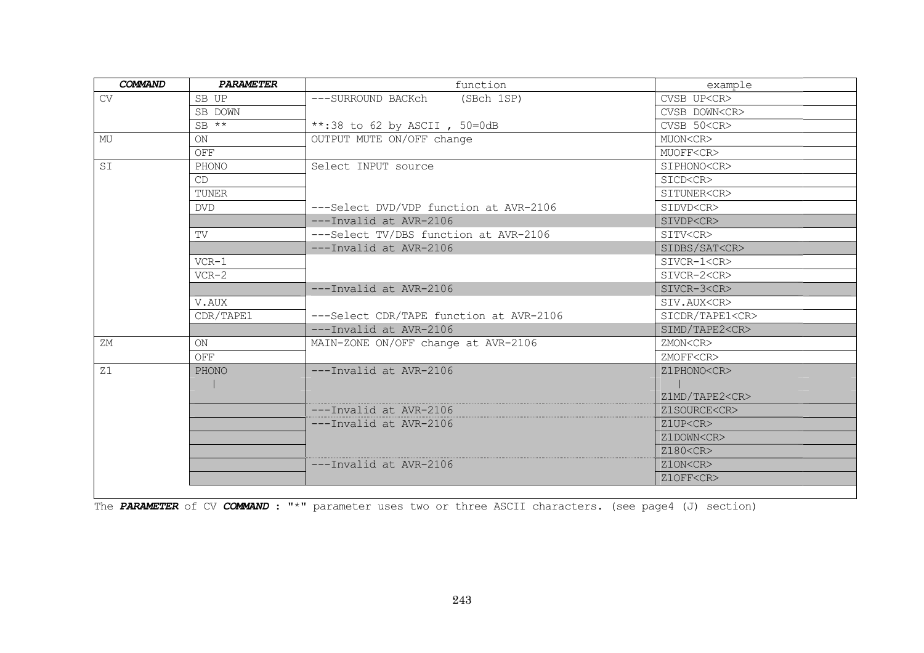| <b>COMMAND</b> | <b>PARAMETER</b> | function                                | example               |
|----------------|------------------|-----------------------------------------|-----------------------|
| CV             | SB UP            | (SBch 1SP)<br>---SURROUND BACKch        | CVSB UP <cr></cr>     |
|                | SB DOWN          |                                         | CVSB DOWN <cr></cr>   |
|                | $SB$ **          | **:38 to 62 by ASCII , $50=0dB$         | CVSB 50 <cr></cr>     |
| MU             | <b>ON</b>        | OUTPUT MUTE ON/OFF change               | MUON <cr></cr>        |
|                | OFF              |                                         | MUOFF <cr></cr>       |
| SI             | PHONO            | Select INPUT source                     | SIPHONO <cr></cr>     |
|                | CD               |                                         | SICD <cr></cr>        |
|                | TUNER            |                                         | SITUNER <cr></cr>     |
|                | <b>DVD</b>       | ---Select DVD/VDP function at AVR-2106  | SIDVD <cr></cr>       |
|                |                  | ---Invalid at AVR-2106                  | SIVDP <cr></cr>       |
|                | TV               | ---Select TV/DBS function at AVR-2106   | SITV <cr></cr>        |
|                |                  | ---Invalid at AVR-2106                  | SIDBS/SAT <cr></cr>   |
|                | $VCR-1$          |                                         | SIVCR-1 <cr></cr>     |
|                | $VCR-2$          |                                         | SIVCR-2 <cr></cr>     |
|                |                  | ---Invalid at AVR-2106                  | SIVCR-3 <cr></cr>     |
|                | V.AUX            |                                         | SIV.AUX <cr></cr>     |
|                | CDR/TAPE1        | ---Select CDR/TAPE function at AVR-2106 | SICDR/TAPE1 <cr></cr> |
|                |                  | ---Invalid at AVR-2106                  | SIMD/TAPE2 <cr></cr>  |
| ΖM             | ON               | MAIN-ZONE ON/OFF change at AVR-2106     | ZMON <cr></cr>        |
|                | OFF              |                                         | ZMOFF <cr></cr>       |
| Z1             | <b>PHONO</b>     | ---Invalid at AVR-2106                  | Z1PHONO <cr></cr>     |
|                |                  |                                         |                       |
|                |                  |                                         | Z1MD/TAPE2 <cr></cr>  |
|                |                  | ---Invalid at AVR-2106                  | Z1SOURCE <cr></cr>    |
|                |                  | $---Invalid$ at $AVR-2106$              | Z1UP <cr></cr>        |
|                |                  |                                         | Z1DOWN <cr></cr>      |
|                |                  |                                         | Z180 <cr></cr>        |
|                |                  | ---Invalid at AVR-2106                  | Z1ON <cr></cr>        |
|                |                  |                                         | Z1OFF <cr></cr>       |

The *PARAMETER* of CV *COMMAND* : "\*" parameter uses two or three ASCII characters. (see page4 (J) section)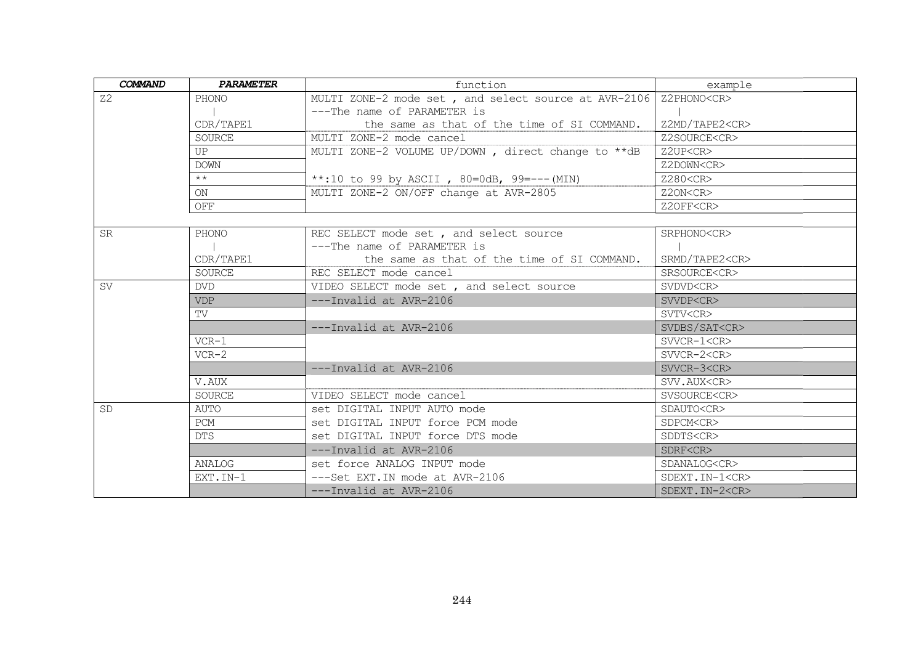| <b>COMMAND</b> | <b>PARAMETER</b> | function                                             | example               |
|----------------|------------------|------------------------------------------------------|-----------------------|
| Z <sub>2</sub> | PHONO            | MULTI ZONE-2 mode set, and select source at AVR-2106 | Z2PHONO <cr></cr>     |
|                |                  | ---The name of PARAMETER is                          |                       |
|                | CDR/TAPE1        | the same as that of the time of SI COMMAND.          | Z2MD/TAPE2 <cr></cr>  |
|                | <b>SOURCE</b>    | MULTI ZONE-2 mode cancel                             | Z2SOURCE <cr></cr>    |
|                | $_{\rm IIP}$     | MULTI ZONE-2 VOLUME UP/DOWN, direct change to **dB   | Z2UP <cr></cr>        |
|                | <b>DOWN</b>      |                                                      | Z2DOWN <cr></cr>      |
|                | $\star\star$     | **:10 to 99 by ASCII, 80=0dB, 99=--- (MIN)           | Z280 <cr></cr>        |
|                | ON               | MULTI ZONE-2 ON/OFF change at AVR-2805               | Z2ON <cr></cr>        |
|                | OFF              |                                                      | Z2OFF <cr></cr>       |
|                |                  |                                                      |                       |
| <b>SR</b>      | PHONO            | REC SELECT mode set, and select source               | SRPHONO <cr></cr>     |
|                |                  | ---The name of PARAMETER is                          |                       |
|                | CDR/TAPE1        | the same as that of the time of SI COMMAND.          | SRMD/TAPE2 <cr></cr>  |
|                | SOURCE           | REC SELECT mode cancel                               | SRSOURCE <cr></cr>    |
| <b>SV</b>      | <b>DVD</b>       | VIDEO SELECT mode set, and select source             | SVDVD <cr></cr>       |
|                | <b>VDP</b>       | ---Invalid at AVR-2106                               | SVVDP <cr></cr>       |
|                | TV               |                                                      | SVTV <cr></cr>        |
|                |                  | $---Invalid$ at $AVR-2106$                           | SVDBS/SAT <cr></cr>   |
|                | $VCR-1$          |                                                      | $SVVCR-1 < CR$        |
|                | $VCR-2$          |                                                      | SVVCR-2 <cr></cr>     |
|                |                  | ---Invalid at AVR-2106                               | SVVCR-3 <cr></cr>     |
|                | V.AUX            |                                                      | SVV.AUX <cr></cr>     |
|                | <b>SOURCE</b>    | VIDEO SELECT mode cancel                             | SVSOURCE <cr></cr>    |
| <b>SD</b>      | AUTO             | set DIGITAL INPUT AUTO mode                          | SDAUTO <cr></cr>      |
|                | <b>PCM</b>       | set DIGITAL INPUT force PCM mode                     | SDPCM <cr></cr>       |
|                | <b>DTS</b>       | set DIGITAL INPUT force DTS mode                     | SDDTS <cr></cr>       |
|                |                  | ---Invalid at AVR-2106                               | SDRF <cr></cr>        |
|                | ANALOG           | set force ANALOG INPUT mode                          | SDANALOG <cr></cr>    |
|                | EXT.IN-1         | ---Set EXT. IN mode at AVR-2106                      | SDEXT. IN-1 <cr></cr> |
|                |                  | ---Invalid at AVR-2106                               | SDEXT. IN-2 <cr></cr> |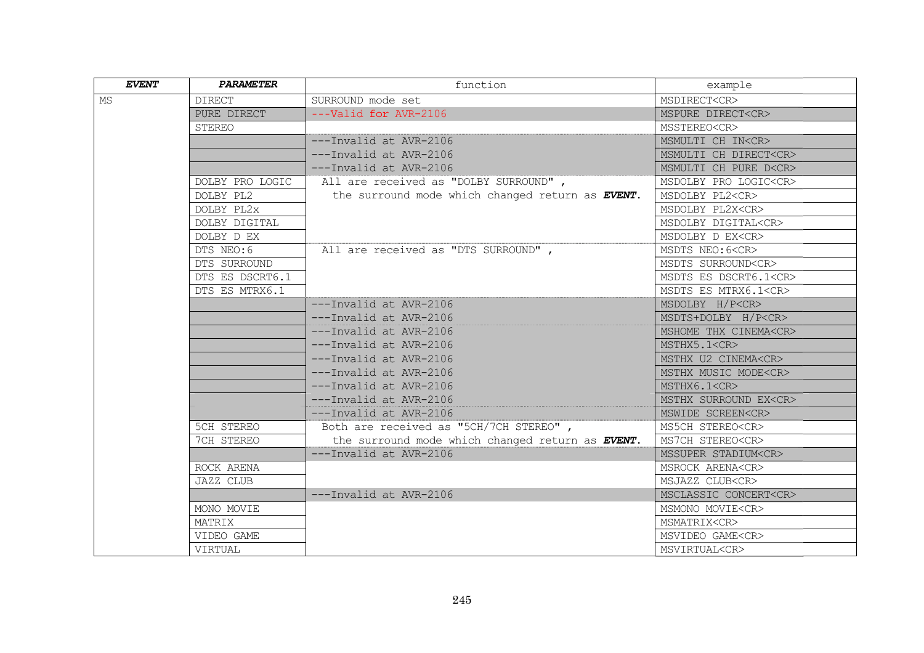| <b>EVENT</b> | <b>PARAMETER</b> | function                                         | example                     |
|--------------|------------------|--------------------------------------------------|-----------------------------|
| MS           | <b>DIRECT</b>    | SURROUND mode set                                | MSDIRECT <cr></cr>          |
|              | PURE DIRECT      | ---Valid for AVR-2106                            | MSPURE DIRECT <cr></cr>     |
|              | STEREO           |                                                  | MSSTEREO <cr></cr>          |
|              |                  | ---Invalid at AVR-2106                           | MSMULTI CH IN <cr></cr>     |
|              |                  | $---Invalid$ at $AVR-2106$                       | MSMULTI CH DIRECT <cr></cr> |
|              |                  | ---Invalid at AVR-2106                           | MSMULTI CH PURE D <cr></cr> |
|              | DOLBY PRO LOGIC  | All are received as "DOLBY SURROUND",            | MSDOLBY PRO LOGIC <cr></cr> |
|              | DOLBY PL2        | the surround mode which changed return as EVENT. | MSDOLBY PL2 <cr></cr>       |
|              | DOLBY PL2x       |                                                  | MSDOLBY PL2X <cr></cr>      |
|              | DOLBY DIGITAL    |                                                  | MSDOLBY DIGITAL <cr></cr>   |
|              | DOLBY D EX       |                                                  | MSDOLBY D EX <cr></cr>      |
|              | DTS NEO:6        | All are received as "DTS SURROUND",              | MSDTS NEO: 6 <cr></cr>      |
|              | DTS SURROUND     |                                                  | MSDTS SURROUND <cr></cr>    |
|              | DTS ES DSCRT6.1  |                                                  | MSDTS ES DSCRT6.1 <cr></cr> |
|              | DTS ES MTRX6.1   |                                                  | MSDTS ES MTRX6.1 <cr></cr>  |
|              |                  | ---Invalid at AVR-2106                           | MSDOLBY H/P <cr></cr>       |
|              |                  | ---Invalid at AVR-2106                           | MSDTS+DOLBY H/P <cr></cr>   |
|              |                  | ---Invalid at AVR-2106                           | MSHOME THX CINEMA <cr></cr> |
|              |                  | $---Invalid$ at $AVR-2106$                       | MSTHX5.1 <cr></cr>          |
|              |                  | ---Invalid at AVR-2106                           | MSTHX U2 CINEMA <cr></cr>   |
|              |                  | ---Invalid at AVR-2106                           | MSTHX MUSIC MODE <cr></cr>  |
|              |                  | ---Invalid at AVR-2106                           | MSTHX6.1 <cr></cr>          |
|              |                  | ---Invalid at AVR-2106                           | MSTHX SURROUND EX <cr></cr> |
|              |                  | ---Invalid at AVR-2106                           | MSWIDE SCREEN <cr></cr>     |
|              | 5CH STEREO       | Both are received as "5CH/7CH STEREO",           | MS5CH STEREO <cr></cr>      |
|              | 7CH STEREO       | the surround mode which changed return as EVENT. | MS7CH STEREO <cr></cr>      |
|              |                  | ---Invalid at AVR-2106                           | MSSUPER STADIUM <cr></cr>   |
|              | ROCK ARENA       |                                                  | MSROCK ARENA <cr></cr>      |
|              | JAZZ CLUB        |                                                  | MSJAZZ CLUB <cr></cr>       |
|              |                  | ---Invalid at AVR-2106                           | MSCLASSIC CONCERT <cr></cr> |
|              | MONO MOVIE       |                                                  | MSMONO MOVIE <cr></cr>      |
|              | MATRIX           |                                                  | MSMATRIX <cr></cr>          |
|              | VIDEO GAME       |                                                  | MSVIDEO GAME <cr></cr>      |
|              | VIRTUAL          |                                                  | MSVIRTUAL <cr></cr>         |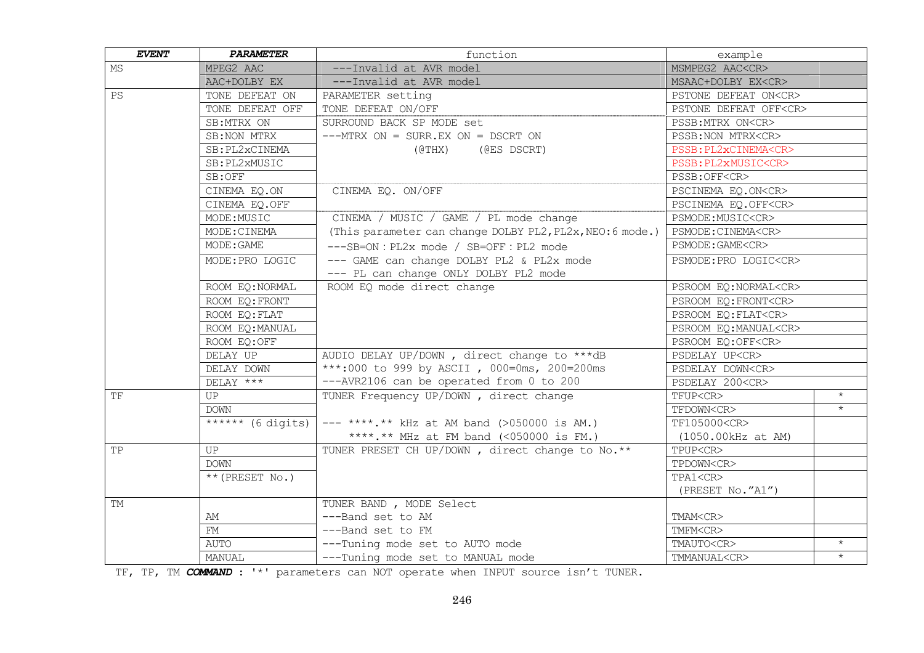| <b>EVENT</b> | <b>PARAMETER</b>                           | function                                                  | example                     |         |
|--------------|--------------------------------------------|-----------------------------------------------------------|-----------------------------|---------|
| MS.          | MPEG2 AAC                                  | ---Invalid at AVR model                                   | MSMPEG2 AAC <cr></cr>       |         |
|              | AAC+DOLBY EX                               | ---Invalid at AVR model                                   | MSAAC+DOLBY EX <cr></cr>    |         |
| PS           | TONE DEFEAT ON                             | PARAMETER setting                                         | PSTONE DEFEAT ON <cr></cr>  |         |
|              | TONE DEFEAT OFF                            | TONE DEFEAT ON/OFF                                        | PSTONE DEFEAT OFF <cr></cr> |         |
|              | SB:MTRX ON                                 | SURROUND BACK SP MODE set                                 | PSSB: MTRX ON <cr></cr>     |         |
|              | SB: NON MTRX                               | $---MTRX ON = SURR. EX ON = DSCRT ON$                     | PSSB: NON MTRX <cr></cr>    |         |
|              | SB: PL2xCINEMA                             | (@THX)<br>(@ES DSCRT)                                     | PSSB: PL2xCINEMA <cr></cr>  |         |
|              | SB: PL2xMUSIC                              |                                                           | PSSB: PL2xMUSIC <cr></cr>   |         |
|              | SB:OFF                                     |                                                           | PSSB:OFF <cr></cr>          |         |
|              | CINEMA EQ.ON                               | CINEMA EQ. ON/OFF                                         | PSCINEMA EQ.ON <cr></cr>    |         |
|              | CINEMA EQ.OFF                              |                                                           | PSCINEMA EQ.OFF <cr></cr>   |         |
|              | MODE:MUSIC                                 | CINEMA / MUSIC / GAME / PL mode change                    | PSMODE:MUSIC <cr></cr>      |         |
|              | MODE: CINEMA                               | (This parameter can change DOLBY PL2, PL2x, NEO: 6 mode.) | PSMODE: CINEMA <cr></cr>    |         |
|              | MODE: GAME                                 | ---SB=ON : PL2x mode / SB=OFF : PL2 mode                  | PSMODE: GAME <cr></cr>      |         |
|              | MODE: PRO LOGIC                            | --- GAME can change DOLBY PL2 & PL2x mode                 | PSMODE: PRO LOGIC <cr></cr> |         |
|              |                                            | --- PL can change ONLY DOLBY PL2 mode                     |                             |         |
|              | ROOM EQ: NORMAL                            | ROOM EQ mode direct change                                | PSROOM EQ:NORMAL <cr></cr>  |         |
|              | ROOM EQ: FRONT                             |                                                           | PSROOM EQ: FRONT <cr></cr>  |         |
|              | ROOM EQ: FLAT                              |                                                           | PSROOM EQ: FLAT <cr></cr>   |         |
|              | ROOM EQ: MANUAL                            |                                                           | PSROOM EQ:MANUAL <cr></cr>  |         |
|              | ROOM EQ:OFF                                |                                                           | PSROOM EQ:OFF <cr></cr>     |         |
|              | DELAY UP                                   | AUDIO DELAY UP/DOWN, direct change to ***dB               | PSDELAY UP <cr></cr>        |         |
|              | DELAY DOWN                                 | ***:000 to 999 by ASCII, 000=0ms, 200=200ms               | PSDELAY DOWN <cr></cr>      |         |
|              | DELAY ***                                  | --- AVR2106 can be operated from 0 to 200                 | PSDELAY 200 <cr></cr>       |         |
| TF           | UP                                         | TUNER Frequency UP/DOWN, direct change                    | TFUP <cr></cr>              | $\star$ |
|              | DOWN                                       |                                                           | TFDOWN <cr></cr>            | $\star$ |
|              | $\overline{\phantom{1}}$ ****** (6 digits) | $---$ ****.** kHz at AM band (>050000 is AM.)             | TF105000 <cr></cr>          |         |
|              |                                            | ****.** MHz at FM band (<050000 is FM.)                   | (1050.00kHz at AM)          |         |
| TP           | UP                                         | TUNER PRESET CH UP/DOWN, direct change to No.**           | TPUP <cr></cr>              |         |
|              | DOWN                                       |                                                           | TPDOWN <cr></cr>            |         |
|              | $**$ (PRESET No.)                          |                                                           | TPA1 <cr></cr>              |         |
|              |                                            |                                                           | (PRESET No."A1")            |         |
| TM           |                                            | TUNER BAND, MODE Select                                   |                             |         |
|              | AM                                         | ---Band set to AM                                         | TMAM <cr></cr>              |         |
|              | FM                                         | ---Band set to FM                                         | TMFM <cr></cr>              |         |
|              | AUTO                                       | ---Tuning mode set to AUTO mode                           | TMAUTO <cr></cr>            | $\star$ |
|              | MANUAL                                     | ---Tuning mode set to MANUAL mode                         | TMMANUAL <cr></cr>          | $\star$ |

TF, TP, TM *COMMAND* : '\*' parameters can NOT operate when INPUT source isn't TUNER.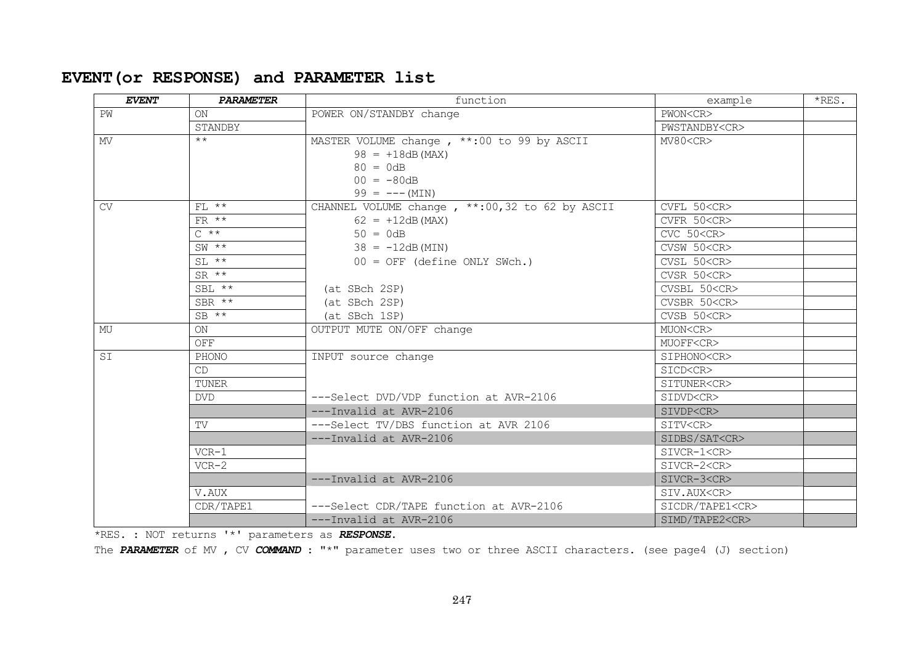# **EVENT(or RESPONSE) and PARAMETER list**

| <b>EVENT</b> | <b>PARAMETER</b>  | function                                         | example               | *RES. |
|--------------|-------------------|--------------------------------------------------|-----------------------|-------|
| PW           | ON                | POWER ON/STANDBY change                          | PWON <cr></cr>        |       |
|              | STANDBY           |                                                  | PWSTANDBY <cr></cr>   |       |
| MV           | $***$             | MASTER VOLUME change, **: 00 to 99 by ASCII      | MV80 < CR             |       |
|              |                   | $98 = +18dB$ (MAX)                               |                       |       |
|              |                   | $80 = 0dB$                                       |                       |       |
|              |                   | $00 = -80dB$                                     |                       |       |
|              |                   | $99 = --- (MIN)$                                 |                       |       |
| CV           | $FL$ **           | CHANNEL VOLUME change, **: 00, 32 to 62 by ASCII | CVFL 50 <cr></cr>     |       |
|              | FR $**$           | $62 = +12dB$ (MAX)                               | CVFR 50 <cr></cr>     |       |
|              | $C \star \star$   | $50 = 0dB$                                       | CVC 50 <cr></cr>      |       |
|              | $SW \times \star$ | $38 = -12dB(MIN)$                                | CVSW 50 <cr></cr>     |       |
|              | $SL$ **           | $00 = OFF$ (define ONLY SWch.)                   | CVSL 50 <cr></cr>     |       |
|              | $SR \star\star$   |                                                  | CVSR 50 <cr></cr>     |       |
|              | $SBL$ **          | (at SBch 2SP)                                    | CVSBL 50 <cr></cr>    |       |
|              | $SBR$ **          | (at SBch 2SP)                                    | CVSBR 50 <cr></cr>    |       |
|              | $SB$ **           | (at SBch 1SP)                                    | CVSB 50 <cr></cr>     |       |
| MU           | ON                | OUTPUT MUTE ON/OFF change                        | MUON <cr></cr>        |       |
|              | OFF               |                                                  | MUOFF <cr></cr>       |       |
| ST           | PHONO             | INPUT source change                              | SIPHONO <cr></cr>     |       |
|              | CD                |                                                  | SICD <cr></cr>        |       |
|              | TUNER             |                                                  | SITUNER <cr></cr>     |       |
|              | <b>DVD</b>        | ---Select DVD/VDP function at AVR-2106           | SIDVD <cr></cr>       |       |
|              |                   | $---Invalid$ at $AVR-2106$                       | SIVDP <cr></cr>       |       |
|              | TV                | ---Select TV/DBS function at AVR 2106            | SITV <cr></cr>        |       |
|              |                   | ---Invalid at AVR-2106                           | SIDBS/SAT <cr></cr>   |       |
|              | $VCR-1$           |                                                  | SIVCR-1 <cr></cr>     |       |
|              | $VCR-2$           |                                                  | SIVCR-2 <cr></cr>     |       |
|              |                   | ---Invalid at AVR-2106                           | SIVCR-3 <cr></cr>     |       |
|              | V.AUX             |                                                  | SIV.AUX <cr></cr>     |       |
|              | CDR/TAPE1         | ---Select CDR/TAPE function at AVR-2106          | SICDR/TAPE1 <cr></cr> |       |
|              |                   | ---Invalid at AVR-2106                           | SIMD/TAPE2 <cr></cr>  |       |

\*RES. : NOT returns '\*' parameters as *RESPONSE*.

The *PARAMETER* of MV , CV *COMMAND* : "\*" parameter uses two or three ASCII characters. (see page4 (J) section)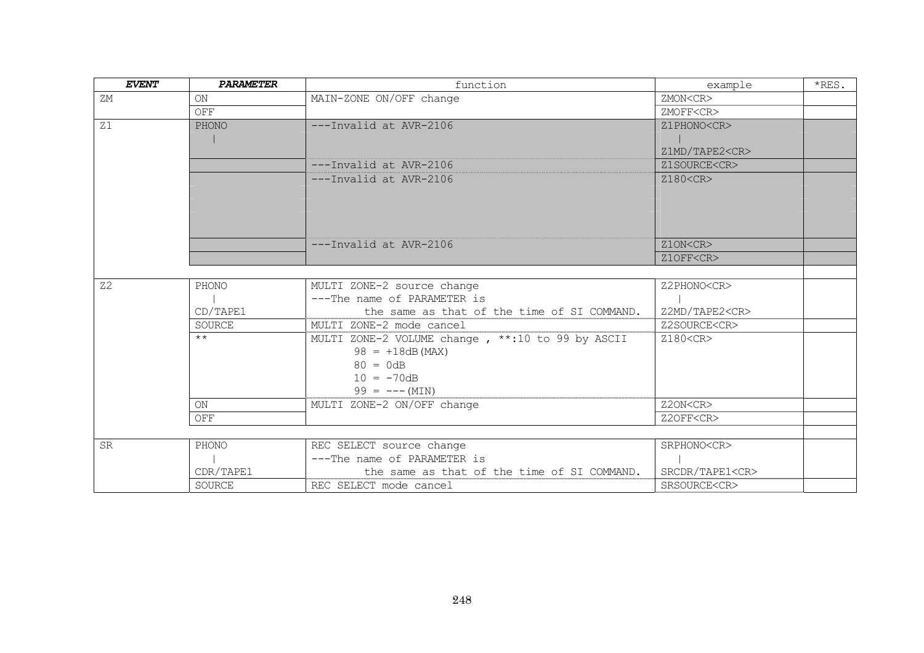| <b>EVENT</b>   | <b>PARAMETER</b> | function                                          | example               | $*$ RES. |
|----------------|------------------|---------------------------------------------------|-----------------------|----------|
| ΖM             | <b>ON</b>        | MAIN-ZONE ON/OFF change                           | ZMON <cr></cr>        |          |
|                | OFF              |                                                   | ZMOFF <cr></cr>       |          |
| Z1             | PHONO            | ---Invalid at AVR-2106                            | Z1PHONO <cr></cr>     |          |
|                |                  |                                                   |                       |          |
|                |                  |                                                   | Z1MD/TAPE2 <cr></cr>  |          |
|                |                  | ---Invalid at AVR-2106                            | Z1SOURCE <cr></cr>    |          |
|                |                  | ---Invalid at AVR-2106                            | Z180 <cr></cr>        |          |
|                |                  |                                                   |                       |          |
|                |                  |                                                   |                       |          |
|                |                  |                                                   |                       |          |
|                |                  |                                                   |                       |          |
|                |                  | ---Invalid at AVR-2106                            | Z1ON <cr></cr>        |          |
|                |                  |                                                   | Z1OFF <cr></cr>       |          |
|                |                  |                                                   |                       |          |
| Z <sub>2</sub> | PHONO            | MULTI ZONE-2 source change                        | Z2PHONO <cr></cr>     |          |
|                |                  | ---The name of PARAMETER is                       |                       |          |
|                | CD/TAPE1         | the same as that of the time of SI COMMAND.       | Z2MD/TAPE2 <cr></cr>  |          |
|                | SOURCE           | MULTI ZONE-2 mode cancel                          | Z2SOURCE <cr></cr>    |          |
|                | $***$            | MULTI ZONE-2 VOLUME change, **: 10 to 99 by ASCII | Z180 <cr></cr>        |          |
|                |                  | $98 = +18dB$ (MAX)                                |                       |          |
|                |                  | $80 = 0dB$                                        |                       |          |
|                |                  | $10 = -70dB$                                      |                       |          |
|                |                  | $99 = --- (MIN)$                                  |                       |          |
|                | <b>ON</b>        | MULTI ZONE-2 ON/OFF change                        | Z2ON <cr></cr>        |          |
|                | OFF              |                                                   | Z2OFF <cr></cr>       |          |
|                |                  |                                                   |                       |          |
| <b>SR</b>      | PHONO            | REC SELECT source change                          | SRPHONO <cr></cr>     |          |
|                |                  | ---The name of PARAMETER is                       |                       |          |
|                | CDR/TAPE1        | the same as that of the time of SI COMMAND.       | SRCDR/TAPE1 <cr></cr> |          |
|                | SOURCE           | REC SELECT mode cancel                            | SRSOURCE <cr></cr>    |          |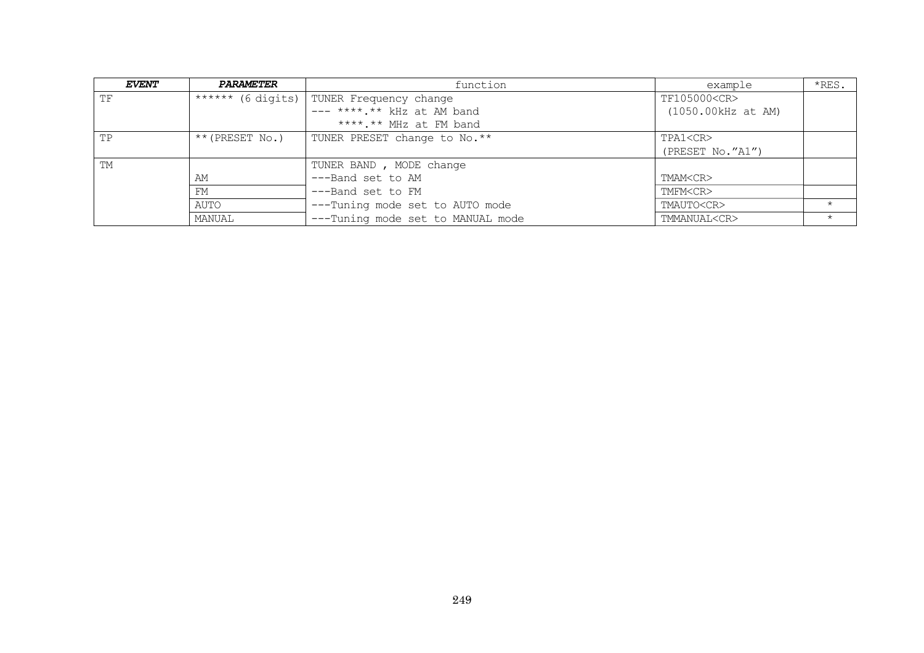| <b>EVENT</b> | <b>PARAMETER</b>  | function                                   | example            | *RES. |
|--------------|-------------------|--------------------------------------------|--------------------|-------|
| <b>TF</b>    |                   | ****** (6 digits)   TUNER Frequency change | TF105000 <cr></cr> |       |
|              |                   | $---***.**$ kHz at AM band                 | (1050.00kHz at AM) |       |
|              |                   | ****.** MHz at FM band                     |                    |       |
| TP           | $**$ (PRESET No.) | TUNER PRESET change to No.**               | TPA1 <cr></cr>     |       |
|              |                   |                                            | (PRESET NO. "A1")  |       |
| <b>TM</b>    |                   | TUNER BAND, MODE change                    |                    |       |
|              | ΆM                | ---Band set to AM                          | TMAM <cr></cr>     |       |
|              | FM                | ---Band set to FM                          | TMFM <cr></cr>     |       |
|              | AUTO              | ---Tuning mode set to AUTO mode            | TMAUTO <cr></cr>   |       |
|              | MANUAL            | ---Tuning mode set to MANUAL mode          | TMMANUAL <cr></cr> |       |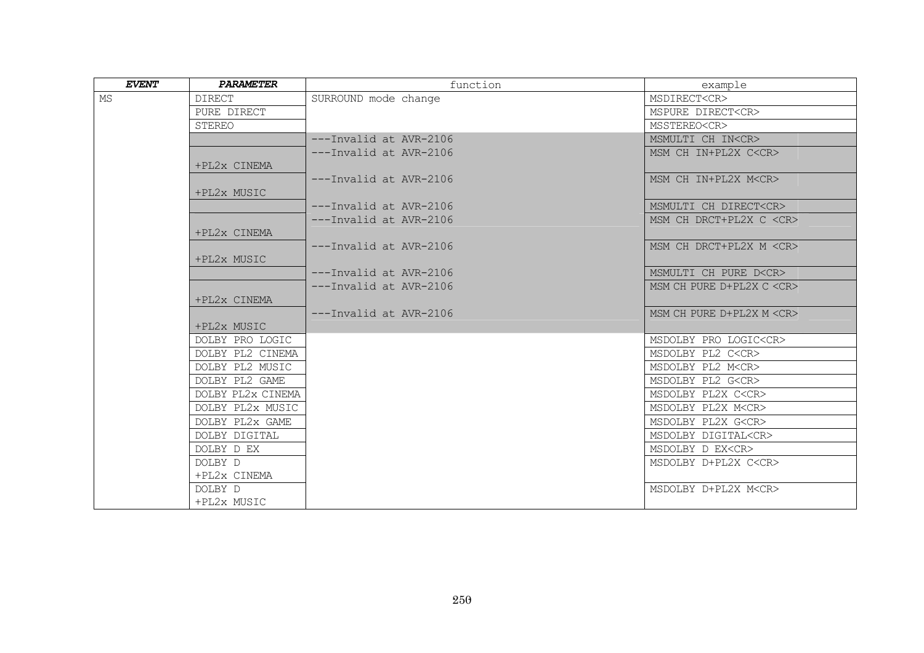| <b>EVENT</b> | <b>PARAMETER</b>  | function                   | example                        |
|--------------|-------------------|----------------------------|--------------------------------|
| MS           | <b>DIRECT</b>     | SURROUND mode change       | MSDIRECT <cr></cr>             |
|              | PURE DIRECT       |                            | MSPURE DIRECT <cr></cr>        |
|              | <b>STEREO</b>     |                            | MSSTEREO <cr></cr>             |
|              |                   | ---Invalid at AVR-2106     | MSMULTI CH IN <cr></cr>        |
|              |                   | ---Invalid at AVR-2106     | MSM CH IN+PL2X C <cr></cr>     |
|              | +PL2x CINEMA      |                            |                                |
|              |                   | ---Invalid at AVR-2106     | MSM CH IN+PL2X M <cr></cr>     |
|              | +PL2x MUSIC       |                            |                                |
|              |                   | ---Invalid at AVR-2106     | MSMULTI CH DIRECT <cr></cr>    |
|              |                   | $---Invalid$ at $AVR-2106$ | MSM CH DRCT+PL2X C <cr></cr>   |
|              | +PL2x CINEMA      |                            |                                |
|              |                   | ---Invalid at AVR-2106     | MSM CH DRCT+PL2X M <cr></cr>   |
|              | +PL2x MUSIC       |                            |                                |
|              |                   | $---Invalid$ at $AVR-2106$ | MSMULTI CH PURE D <cr></cr>    |
|              |                   | $---Invalid$ at $AVR-2106$ | MSM CH PURE D+PL2X C <cr></cr> |
|              | +PL2x CINEMA      |                            |                                |
|              |                   | ---Invalid at AVR-2106     | MSM CH PURE D+PL2X M <cr></cr> |
|              | +PL2x MUSIC       |                            |                                |
|              | DOLBY PRO LOGIC   |                            | MSDOLBY PRO LOGIC <cr></cr>    |
|              | DOLBY PL2 CINEMA  |                            | MSDOLBY PL2 C <cr></cr>        |
|              | DOLBY PL2 MUSIC   |                            | MSDOLBY PL2 M <cr></cr>        |
|              | DOLBY PL2 GAME    |                            | MSDOLBY PL2 G <cr></cr>        |
|              | DOLBY PL2x CINEMA |                            | MSDOLBY PL2X C <cr></cr>       |
|              | DOLBY PL2x MUSIC  |                            | MSDOLBY PL2X M <cr></cr>       |
|              | DOLBY PL2x GAME   |                            | MSDOLBY PL2X G <cr></cr>       |
|              | DOLBY DIGITAL     |                            | MSDOLBY DIGITAL <cr></cr>      |
|              | DOLBY D EX        |                            | MSDOLBY D EX <cr></cr>         |
|              | DOLBY D           |                            | MSDOLBY D+PL2X C <cr></cr>     |
|              | +PL2x CINEMA      |                            |                                |
|              | DOLBY D           |                            | MSDOLBY D+PL2X M <cr></cr>     |
|              | +PL2x MUSIC       |                            |                                |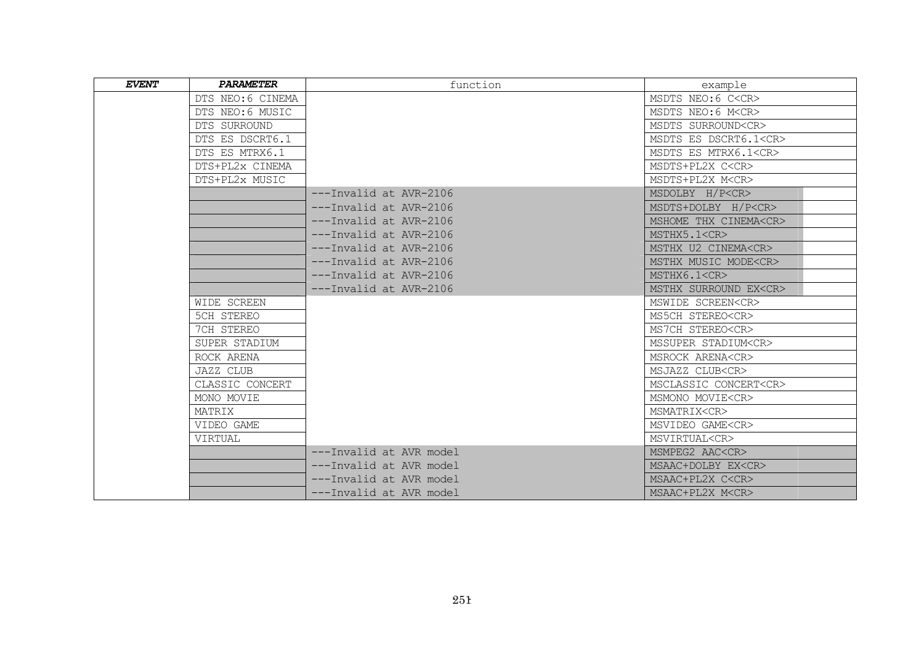| <b>EVENT</b> | <b>PARAMETER</b>  | function                   | example                     |
|--------------|-------------------|----------------------------|-----------------------------|
|              | DTS NEO: 6 CINEMA |                            | MSDTS NEO: 6 C <cr></cr>    |
|              | DTS NEO: 6 MUSIC  |                            | MSDTS NEO: 6 M <cr></cr>    |
|              | DTS SURROUND      |                            | MSDTS SURROUND <cr></cr>    |
|              | DTS ES DSCRT6.1   |                            | MSDTS ES DSCRT6.1 <cr></cr> |
|              | DTS ES MTRX6.1    |                            | MSDTS ES MTRX6.1 <cr></cr>  |
|              | DTS+PL2x CINEMA   |                            | MSDTS+PL2X C <cr></cr>      |
|              | DTS+PL2x MUSIC    |                            | MSDTS+PL2X M <cr></cr>      |
|              |                   | ---Invalid at AVR-2106     | MSDOLBY H/P <cr></cr>       |
|              |                   | ---Invalid at AVR-2106     | MSDTS+DOLBY H/P <cr></cr>   |
|              |                   | $---Invalid$ at $AVR-2106$ | MSHOME THX CINEMA <cr></cr> |
|              |                   | $---Invalid$ at $AVR-2106$ | MSTHX5.1 <cr></cr>          |
|              |                   | ---Invalid at AVR-2106     | MSTHX U2 CINEMA <cr></cr>   |
|              |                   | ---Invalid at AVR-2106     | MSTHX MUSIC MODE <cr></cr>  |
|              |                   | ---Invalid at AVR-2106     | MSTHX6.1 <cr></cr>          |
|              |                   | ---Invalid at AVR-2106     | MSTHX SURROUND EX <cr></cr> |
|              | WIDE SCREEN       |                            | MSWIDE SCREEN <cr></cr>     |
|              | 5CH STEREO        |                            | MS5CH STEREO <cr></cr>      |
|              | 7CH STEREO        |                            | MS7CH STEREO <cr></cr>      |
|              | SUPER STADIUM     |                            | MSSUPER STADIUM <cr></cr>   |
|              | ROCK ARENA        |                            | MSROCK ARENA <cr></cr>      |
|              | <b>JAZZ CLUB</b>  |                            | MSJAZZ CLUB <cr></cr>       |
|              | CLASSIC CONCERT   |                            | MSCLASSIC CONCERT <cr></cr> |
|              | MONO MOVIE        |                            | MSMONO MOVIE <cr></cr>      |
|              | MATRIX            |                            | MSMATRIX <cr></cr>          |
|              | VIDEO GAME        |                            | MSVIDEO GAME <cr></cr>      |
|              | VIRTUAL           |                            | MSVIRTUAL <cr></cr>         |
|              |                   | ---Invalid at AVR model    | MSMPEG2 AAC <cr></cr>       |
|              |                   | ---Invalid at AVR model    | MSAAC+DOLBY EX <cr></cr>    |
|              |                   | ---Invalid at AVR model    | MSAAC+PL2X C <cr></cr>      |
|              |                   | ---Invalid at AVR model    | MSAAC+PL2X M <cr></cr>      |